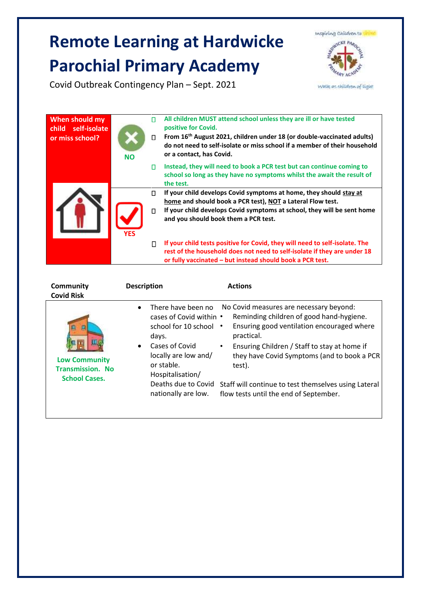## **Remote Learning at Hardwicke Parochial Primary Academy**

Inspiring Children to **NICKE PARO** 

Covid Outbreak Contingency Plan – Sept. 2021

while as children of light

| When should my<br>child self-isolate<br>or miss school? | <b>NO</b>  | П<br>$\Box$ | All children MUST attend school unless they are ill or have tested<br>positive for Covid.<br>From 16 <sup>th</sup> August 2021, children under 18 (or double-vaccinated adults)<br>do not need to self-isolate or miss school if a member of their household<br>or a contact, has Covid. |
|---------------------------------------------------------|------------|-------------|------------------------------------------------------------------------------------------------------------------------------------------------------------------------------------------------------------------------------------------------------------------------------------------|
|                                                         |            | п           | Instead, they will need to book a PCR test but can continue coming to<br>school so long as they have no symptoms whilst the await the result of<br>the test.                                                                                                                             |
|                                                         |            | П           | If your child develops Covid symptoms at home, they should stay at<br>home and should book a PCR test), NOT a Lateral Flow test.                                                                                                                                                         |
|                                                         | <b>YES</b> | $\Box$      | If your child develops Covid symptoms at school, they will be sent home<br>and you should book them a PCR test.                                                                                                                                                                          |
|                                                         |            | П           | If your child tests positive for Covid, they will need to self-isolate. The<br>rest of the household does not need to self-isolate if they are under 18<br>or fully vaccinated – but instead should book a PCR test.                                                                     |

| Community<br><b>Covid Risk</b>                                                       | <b>Description</b>                                                                            | <b>Actions</b>                                                                                                                                  |
|--------------------------------------------------------------------------------------|-----------------------------------------------------------------------------------------------|-------------------------------------------------------------------------------------------------------------------------------------------------|
| Щ                                                                                    | There have been no<br>$\bullet$<br>cases of Covid within .<br>school for 10 school •<br>days. | No Covid measures are necessary beyond:<br>Reminding children of good hand-hygiene.<br>Ensuring good ventilation encouraged where<br>practical. |
| $\bullet$<br><b>Low Community</b><br><b>Transmission. No</b><br><b>School Cases.</b> | Cases of Covid<br>locally are low and/<br>or stable.<br>Hospitalisation/                      | Ensuring Children / Staff to stay at home if<br>they have Covid Symptoms (and to book a PCR<br>test).                                           |
|                                                                                      | Deaths due to Covid<br>nationally are low.                                                    | Staff will continue to test themselves using Lateral<br>flow tests until the end of September.                                                  |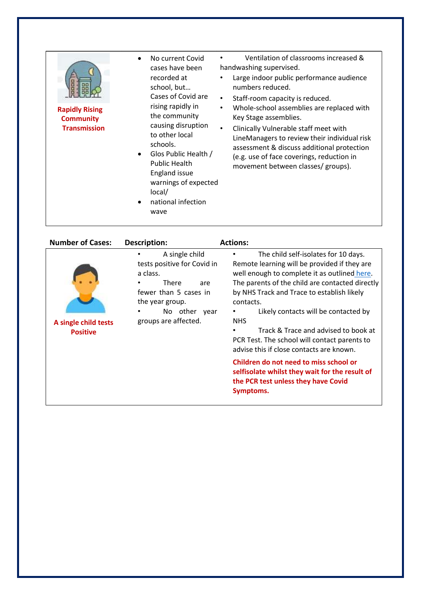|                                                                  | No current Covid<br>$\bullet$<br>cases have been<br>recorded at<br>school, but<br>Cases of Covid are                                                                                                                                                     | Ventilation of classrooms increased &<br>handwashing supervised.<br>Large indoor public performance audience<br>numbers reduced.<br>Staff-room capacity is reduced.<br>$\bullet$<br>Whole-school assemblies are replaced with<br>$\bullet$<br>Key Stage assemblies.<br>Clinically Vulnerable staff meet with<br>$\bullet$<br>LineManagers to review their individual risk<br>assessment & discuss additional protection<br>(e.g. use of face coverings, reduction in<br>movement between classes/ groups). |
|------------------------------------------------------------------|----------------------------------------------------------------------------------------------------------------------------------------------------------------------------------------------------------------------------------------------------------|------------------------------------------------------------------------------------------------------------------------------------------------------------------------------------------------------------------------------------------------------------------------------------------------------------------------------------------------------------------------------------------------------------------------------------------------------------------------------------------------------------|
| <b>Rapidly Rising</b><br><b>Community</b><br><b>Transmission</b> | rising rapidly in<br>the community<br>causing disruption<br>to other local<br>schools.<br>Glos Public Health /<br>$\bullet$<br><b>Public Health</b><br><b>England issue</b><br>warnings of expected<br>local/<br>national infection<br>$\bullet$<br>wave |                                                                                                                                                                                                                                                                                                                                                                                                                                                                                                            |

| <b>Number of Cases:</b>                 | <b>Description:</b>                                                                                                                                               | <b>Actions:</b>                                                                                                                                                                                                                                                                                                                                                                                                                              |
|-----------------------------------------|-------------------------------------------------------------------------------------------------------------------------------------------------------------------|----------------------------------------------------------------------------------------------------------------------------------------------------------------------------------------------------------------------------------------------------------------------------------------------------------------------------------------------------------------------------------------------------------------------------------------------|
| A single child tests<br><b>Positive</b> | A single child<br>tests positive for Covid in<br>a class.<br>There<br>are<br>fewer than 5 cases in<br>the year group.<br>No other<br>year<br>groups are affected. | The child self-isolates for 10 days.<br>Remote learning will be provided if they are<br>well enough to complete it as outlined here.<br>The parents of the child are contacted directly<br>by NHS Track and Trace to establish likely<br>contacts.<br>Likely contacts will be contacted by<br><b>NHS</b><br>Track & Trace and advised to book at<br>PCR Test. The school will contact parents to<br>advise this if close contacts are known. |
|                                         |                                                                                                                                                                   | Children do not need to miss school or<br>selfisolate whilst they wait for the result of<br>the PCR test unless they have Covid<br>Symptoms.                                                                                                                                                                                                                                                                                                 |